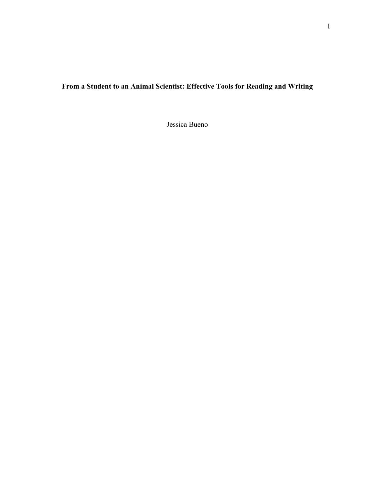# **From a Student to an Animal Scientist: Effective Tools for Reading and Writing**

Jessica Bueno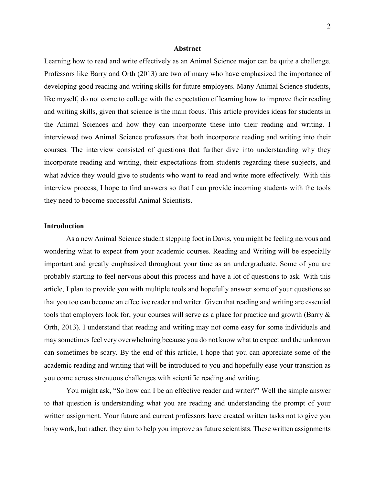#### **Abstract**

Learning how to read and write effectively as an Animal Science major can be quite a challenge. Professors like Barry and Orth (2013) are two of many who have emphasized the importance of developing good reading and writing skills for future employers. Many Animal Science students, like myself, do not come to college with the expectation of learning how to improve their reading and writing skills, given that science is the main focus. This article provides ideas for students in the Animal Sciences and how they can incorporate these into their reading and writing. I interviewed two Animal Science professors that both incorporate reading and writing into their courses. The interview consisted of questions that further dive into understanding why they incorporate reading and writing, their expectations from students regarding these subjects, and what advice they would give to students who want to read and write more effectively. With this interview process, I hope to find answers so that I can provide incoming students with the tools they need to become successful Animal Scientists.

# **Introduction**

As a new Animal Science student stepping foot in Davis, you might be feeling nervous and wondering what to expect from your academic courses. Reading and Writing will be especially important and greatly emphasized throughout your time as an undergraduate. Some of you are probably starting to feel nervous about this process and have a lot of questions to ask. With this article, I plan to provide you with multiple tools and hopefully answer some of your questions so that you too can become an effective reader and writer. Given that reading and writing are essential tools that employers look for, your courses will serve as a place for practice and growth (Barry & Orth, 2013). I understand that reading and writing may not come easy for some individuals and may sometimes feel very overwhelming because you do not know what to expect and the unknown can sometimes be scary. By the end of this article, I hope that you can appreciate some of the academic reading and writing that will be introduced to you and hopefully ease your transition as you come across strenuous challenges with scientific reading and writing.

You might ask, "So how can I be an effective reader and writer?" Well the simple answer to that question is understanding what you are reading and understanding the prompt of your written assignment. Your future and current professors have created written tasks not to give you busy work, but rather, they aim to help you improve as future scientists. These written assignments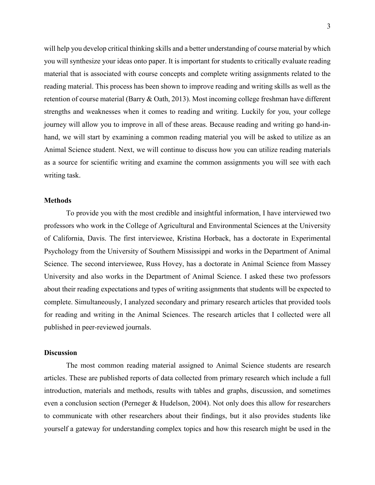will help you develop critical thinking skills and a better understanding of course material by which you will synthesize your ideas onto paper. It is important for students to critically evaluate reading material that is associated with course concepts and complete writing assignments related to the reading material. This process has been shown to improve reading and writing skills as well as the retention of course material (Barry & Oath, 2013). Most incoming college freshman have different strengths and weaknesses when it comes to reading and writing. Luckily for you, your college journey will allow you to improve in all of these areas. Because reading and writing go hand-inhand, we will start by examining a common reading material you will be asked to utilize as an Animal Science student. Next, we will continue to discuss how you can utilize reading materials as a source for scientific writing and examine the common assignments you will see with each writing task.

#### **Methods**

To provide you with the most credible and insightful information, I have interviewed two professors who work in the College of Agricultural and Environmental Sciences at the University of California, Davis. The first interviewee, Kristina Horback, has a doctorate in Experimental Psychology from the University of Southern Mississippi and works in the Department of Animal Science. The second interviewee, Russ Hovey, has a doctorate in Animal Science from Massey University and also works in the Department of Animal Science. I asked these two professors about their reading expectations and types of writing assignments that students will be expected to complete. Simultaneously, I analyzed secondary and primary research articles that provided tools for reading and writing in the Animal Sciences. The research articles that I collected were all published in peer-reviewed journals.

#### **Discussion**

The most common reading material assigned to Animal Science students are research articles. These are published reports of data collected from primary research which include a full introduction, materials and methods, results with tables and graphs, discussion, and sometimes even a conclusion section (Perneger & Hudelson, 2004). Not only does this allow for researchers to communicate with other researchers about their findings, but it also provides students like yourself a gateway for understanding complex topics and how this research might be used in the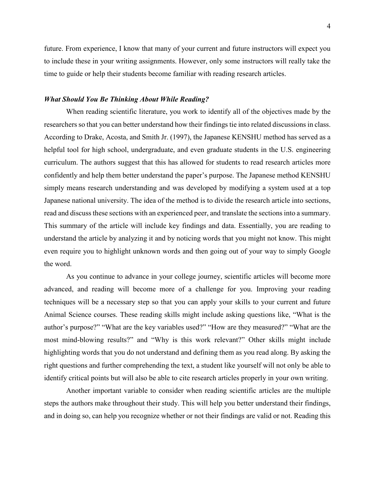future. From experience, I know that many of your current and future instructors will expect you to include these in your writing assignments. However, only some instructors will really take the time to guide or help their students become familiar with reading research articles.

## *What Should You Be Thinking About While Reading?*

When reading scientific literature, you work to identify all of the objectives made by the researchers so that you can better understand how their findings tie into related discussions in class. According to Drake, Acosta, and Smith Jr. (1997), the Japanese KENSHU method has served as a helpful tool for high school, undergraduate, and even graduate students in the U.S. engineering curriculum. The authors suggest that this has allowed for students to read research articles more confidently and help them better understand the paper's purpose. The Japanese method KENSHU simply means research understanding and was developed by modifying a system used at a top Japanese national university. The idea of the method is to divide the research article into sections, read and discuss these sections with an experienced peer, and translate the sections into a summary. This summary of the article will include key findings and data. Essentially, you are reading to understand the article by analyzing it and by noticing words that you might not know. This might even require you to highlight unknown words and then going out of your way to simply Google the word.

As you continue to advance in your college journey, scientific articles will become more advanced, and reading will become more of a challenge for you. Improving your reading techniques will be a necessary step so that you can apply your skills to your current and future Animal Science courses. These reading skills might include asking questions like, "What is the author's purpose?" "What are the key variables used?" "How are they measured?" "What are the most mind-blowing results?" and "Why is this work relevant?" Other skills might include highlighting words that you do not understand and defining them as you read along. By asking the right questions and further comprehending the text, a student like yourself will not only be able to identify critical points but will also be able to cite research articles properly in your own writing.

Another important variable to consider when reading scientific articles are the multiple steps the authors make throughout their study. This will help you better understand their findings, and in doing so, can help you recognize whether or not their findings are valid or not. Reading this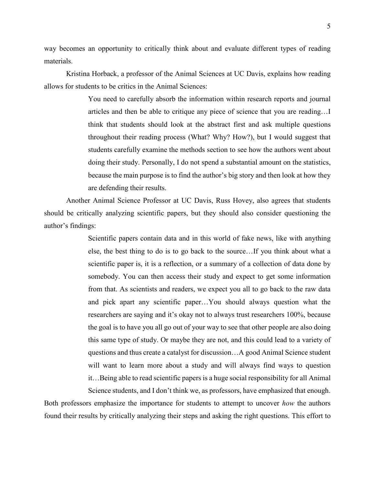way becomes an opportunity to critically think about and evaluate different types of reading materials.

Kristina Horback, a professor of the Animal Sciences at UC Davis, explains how reading allows for students to be critics in the Animal Sciences:

> You need to carefully absorb the information within research reports and journal articles and then be able to critique any piece of science that you are reading…I think that students should look at the abstract first and ask multiple questions throughout their reading process (What? Why? How?), but I would suggest that students carefully examine the methods section to see how the authors went about doing their study. Personally, I do not spend a substantial amount on the statistics, because the main purpose is to find the author's big story and then look at how they are defending their results.

Another Animal Science Professor at UC Davis, Russ Hovey, also agrees that students should be critically analyzing scientific papers, but they should also consider questioning the author's findings:

> Scientific papers contain data and in this world of fake news, like with anything else, the best thing to do is to go back to the source…If you think about what a scientific paper is, it is a reflection, or a summary of a collection of data done by somebody. You can then access their study and expect to get some information from that. As scientists and readers, we expect you all to go back to the raw data and pick apart any scientific paper…You should always question what the researchers are saying and it's okay not to always trust researchers 100%, because the goal is to have you all go out of your way to see that other people are also doing this same type of study. Or maybe they are not, and this could lead to a variety of questions and thus create a catalyst for discussion…A good Animal Science student will want to learn more about a study and will always find ways to question it…Being able to read scientific papers is a huge social responsibility for all Animal Science students, and I don't think we, as professors, have emphasized that enough.

Both professors emphasize the importance for students to attempt to uncover *how* the authors found their results by critically analyzing their steps and asking the right questions. This effort to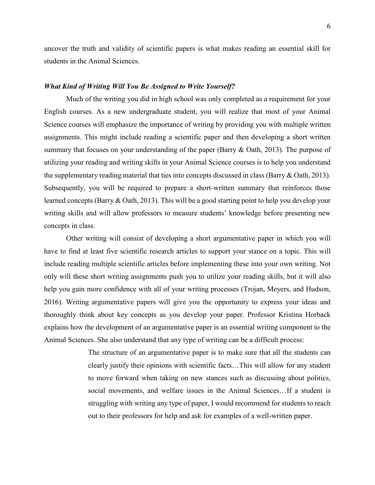uncover the truth and validity of scientific papers is what makes reading an essential skill for students in the Animal Sciences.

#### *What Kind of Writing Will You Be Assigned to Write Yourself?*

Much of the writing you did in high school was only completed as a requirement for your English courses. As a new undergraduate student, you will realize that most of your Animal Science courses will emphasize the importance of writing by providing you with multiple written assignments. This might include reading a scientific paper and then developing a short written summary that focuses on your understanding of the paper (Barry & Oath, 2013). The purpose of utilizing your reading and writing skills in your Animal Science courses is to help you understand the supplementary reading material that ties into concepts discussed in class (Barry & Oath, 2013). Subsequently, you will be required to prepare a short-written summary that reinforces those learned concepts (Barry & Oath, 2013). This will be a good starting point to help you develop your writing skills and will allow professors to measure students' knowledge before presenting new concepts in class.

Other writing will consist of developing a short argumentative paper in which you will have to find at least five scientific research articles to support your stance on a topic. This will include reading multiple scientific articles before implementing these into your own writing. Not only will these short writing assignments push you to utilize your reading skills, but it will also help you gain more confidence with all of your writing processes (Trojan, Meyers, and Hudson, 2016). Writing argumentative papers will give you the opportunity to express your ideas and thoroughly think about key concepts as you develop your paper. Professor Kristina Horback explains how the development of an argumentative paper is an essential writing component to the Animal Sciences. She also understand that any type of writing can be a difficult process:

> The structure of an argumentative paper is to make sure that all the students can clearly justify their opinions with scientific facts…This will allow for any student to move forward when taking on new stances such as discussing about politics, social movements, and welfare issues in the Animal Sciences…If a student is struggling with writing any type of paper, I would recommend for students to reach out to their professors for help and ask for examples of a well-written paper.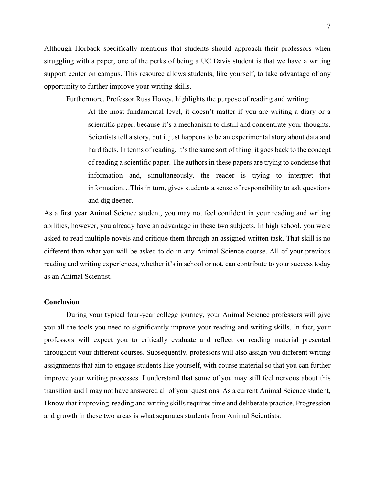Although Horback specifically mentions that students should approach their professors when struggling with a paper, one of the perks of being a UC Davis student is that we have a writing support center on campus. This resource allows students, like yourself, to take advantage of any opportunity to further improve your writing skills.

Furthermore, Professor Russ Hovey, highlights the purpose of reading and writing:

At the most fundamental level, it doesn't matter if you are writing a diary or a scientific paper, because it's a mechanism to distill and concentrate your thoughts. Scientists tell a story, but it just happens to be an experimental story about data and hard facts. In terms of reading, it's the same sort of thing, it goes back to the concept of reading a scientific paper. The authors in these papers are trying to condense that information and, simultaneously, the reader is trying to interpret that information…This in turn, gives students a sense of responsibility to ask questions and dig deeper.

As a first year Animal Science student, you may not feel confident in your reading and writing abilities, however, you already have an advantage in these two subjects. In high school, you were asked to read multiple novels and critique them through an assigned written task. That skill is no different than what you will be asked to do in any Animal Science course. All of your previous reading and writing experiences, whether it's in school or not, can contribute to your success today as an Animal Scientist.

#### **Conclusion**

During your typical four-year college journey, your Animal Science professors will give you all the tools you need to significantly improve your reading and writing skills. In fact, your professors will expect you to critically evaluate and reflect on reading material presented throughout your different courses. Subsequently, professors will also assign you different writing assignments that aim to engage students like yourself, with course material so that you can further improve your writing processes. I understand that some of you may still feel nervous about this transition and I may not have answered all of your questions. As a current Animal Science student, I know that improving reading and writing skills requires time and deliberate practice. Progression and growth in these two areas is what separates students from Animal Scientists.